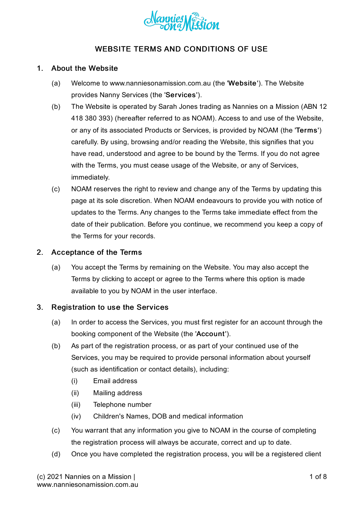

# WEBSITE TERMS AND CONDITIONS OF USE

### 1. About the Website

- (a) Welcome to www.nanniesonamission.com.au (the 'Website'). The Website provides Nanny Services (the 'Services').
- (b) The Website is operated by Sarah Jones trading as Nannies on a Mission (ABN 12 418 380 393) (hereafter referred to as NOAM). Access to and use of the Website, or any of its associated Products or Services, is provided by NOAM (the 'Terms') carefully. By using, browsing and/or reading the Website, this signifies that you have read, understood and agree to be bound by the Terms. If you do not agree with the Terms, you must cease usage of the Website, or any of Services, immediately.
- (c) NOAM reserves the right to review and change any of the Terms by updating this page at its sole discretion. When NOAM endeavours to provide you with notice of updates to the Terms. Any changes to the Terms take immediate effect from the date of their publication. Before you continue, we recommend you keep a copy of the Terms for your records.

### 2. Acceptance of the Terms

(a) You accept the Terms by remaining on the Website. You may also accept the Terms by clicking to accept or agree to the Terms where this option is made available to you by NOAM in the user interface.

### 3. Registration to use the Services

- (a) In order to access the Services, you must first register for an account through the booking component of the Website (the 'Account').
- (b) As part of the registration process, or as part of your continued use of the Services, you may be required to provide personal information about yourself (such as identification or contact details), including:
	- (i) Email address
	- (ii) Mailing address
	- (iii) Telephone number
	- (iv) Children's Names, DOB and medical information
- (c) You warrant that any information you give to NOAM in the course of completing the registration process will always be accurate, correct and up to date.
- (d) Once you have completed the registration process, you will be a registered client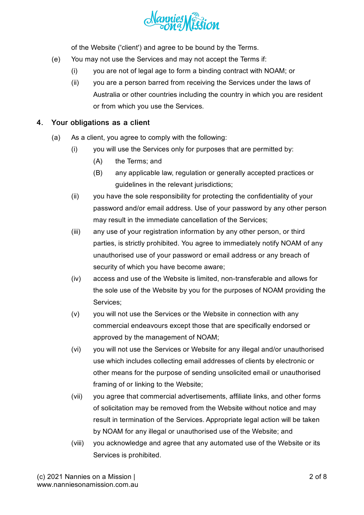

of the Website ('client') and agree to be bound by the Terms.

- (e) You may not use the Services and may not accept the Terms if:
	- (i) you are not of legal age to form a binding contract with NOAM; or
	- (ii) you are a person barred from receiving the Services under the laws of Australia or other countries including the country in which you are resident or from which you use the Services.

## 4. Your obligations as a client

- (a) As a client, you agree to comply with the following:
	- (i) you will use the Services only for purposes that are permitted by:
		- $(A)$ the Terms; and
		- (B) any applicable law, regulation or generally accepted practices or guidelines in the relevant jurisdictions;
	- (ii) you have the sole responsibility for protecting the confidentiality of your password and/or email address. Use of your password by any other person may result in the immediate cancellation of the Services;
	- (iii) any use of your registration information by any other person, or third parties, is strictly prohibited. You agree to immediately notify NOAM of any unauthorised use of your password or email address or any breach of security of which you have become aware;
	- (iv) access and use of the Website is limited, non-transferable and allows for the sole use of the Website by you for the purposes of NOAM providing the Services;
	- (v) you will not use the Services or the Website in connection with any commercial endeavours except those that are specifically endorsed or approved by the management of NOAM;
	- (vi) you will not use the Services or Website for any illegal and/or unauthorised use which includes collecting email addresses of clients by electronic or other means for the purpose of sending unsolicited email or unauthorised framing of or linking to the Website;
	- (vii) you agree that commercial advertisements, affiliate links, and other forms of solicitation may be removed from the Website without notice and may result in termination of the Services. Appropriate legal action will be taken by NOAM for any illegal or unauthorised use of the Website; and
	- (viii) you acknowledge and agree that any automated use of the Website or its Services is prohibited.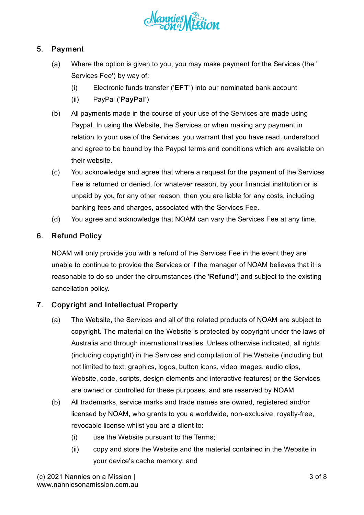

## 5. Payment

- (a) Where the option is given to you, you may make payment for the Services (the ' Services Fee') by way of:
	- (i) Electronic funds transfer ('EFT') into our nominated bank account
	- (ii) PayPal ('PayPal')
- (b) All payments made in the course of your use of the Services are made using Paypal. In using the Website, the Services or when making any payment in relation to your use of the Services, you warrant that you have read, understood and agree to be bound by the Paypal terms and conditions which are available on their website.
- $(c)$ You acknowledge and agree that where a request for the payment of the Services Fee is returned or denied, for whatever reason, by your financial institution or is unpaid by you for any other reason, then you are liable for any costs, including banking fees and charges, associated with the Services Fee.
- (d) You agree and acknowledge that NOAM can vary the Services Fee at any time.

### 6. Refund Policy

NOAM will only provide you with a refund of the Services Fee in the event they are unable to continue to provide the Services or if the manager of NOAM believes that it is reasonable to do so under the circumstances (the 'Refund') and subject to the existing cancellation policy.

### 7. Copyright and Intellectual Property

- (a) The Website, the Services and all of the related products of NOAM are subject to copyright. The material on the Website is protected by copyright under the laws of Australia and through international treaties. Unless otherwise indicated, all rights (including copyright) in the Services and compilation of the Website (including but not limited to text, graphics, logos, button icons, video images, audio clips, Website, code, scripts, design elements and interactive features) or the Services are owned or controlled for these purposes, and are reserved by NOAM
- (b) All trademarks, service marks and trade names are owned, registered and/or licensed by NOAM, who grants to you a worldwide, non-exclusive, royalty-free, revocable license whilst you are a client to:
	- (i) use the Website pursuant to the Terms;
	- (ii) copy and store the Website and the material contained in the Website in your device's cache memory; and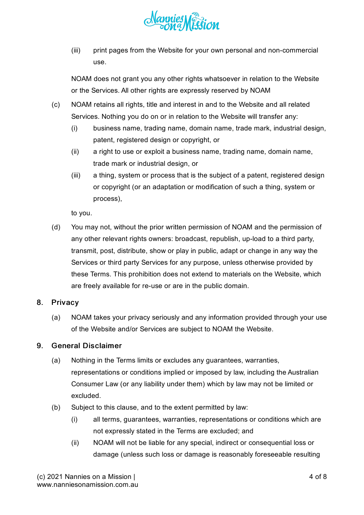

(iii) print pages from the Website for your own personal and non-commercial use.

NOAM does not grant you any other rights whatsoever in relation to the Website or the Services. All other rights are expressly reserved by NOAM

- (c) NOAM retains all rights, title and interest in and to the Website and all related Services. Nothing you do on or in relation to the Website will transfer any:
	- (i) business name, trading name, domain name, trade mark, industrial design, patent, registered design or copyright, or
	- (ii) a right to use or exploit a business name, trading name, domain name, trade mark or industrial design, or
	- (iii) a thing, system or process that is the subject of a patent, registered design or copyright (or an adaptation or modification of such a thing, system or process),

to you.

(d) You may not, without the prior written permission of NOAM and the permission of any other relevant rights owners: broadcast, republish, up-load to a third party, transmit, post, distribute, show or play in public, adapt or change in any way the Services or third party Services for any purpose, unless otherwise provided by these Terms. This prohibition does not extend to materials on the Website, which are freely available for re-use or are in the public domain.

### 8. **Privacy**

(a) NOAM takes your privacy seriously and any information provided through your use of the Website and/or Services are subject to NOAM the Website.

### 9. General Disclaimer

- (a) Nothing in the Terms limits or excludes any guarantees, warranties, representations or conditions implied or imposed by law, including the Australian Consumer Law (or any liability under them) which by law may not be limited or excluded.
- (b) Subject to this clause, and to the extent permitted by law:
	- (i) all terms, guarantees, warranties, representations or conditions which are not expressly stated in the Terms are excluded; and
	- (ii) NOAM will not be liable for any special, indirect or consequential loss or damage (unless such loss or damage is reasonably foreseeable resulting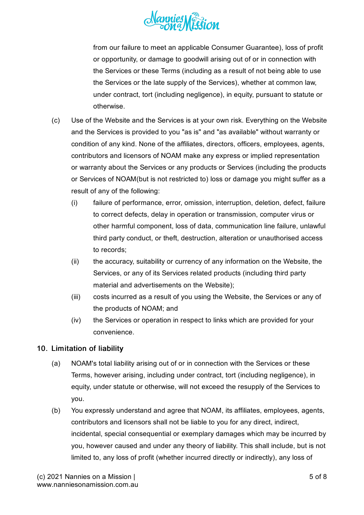

from our failure to meet an applicable Consumer Guarantee), loss of profit or opportunity, or damage to goodwill arising out of or in connection with the Services or these Terms (including as a result of not being able to use the Services or the late supply of the Services), whether at common law, under contract, tort (including negligence), in equity, pursuant to statute or otherwise.

- (c) Use of the Website and the Services is at your own risk. Everything on the Website and the Services is provided to you "as is" and "as available" without warranty or condition of any kind. None of the affiliates, directors, officers, employees, agents, contributors and licensors of NOAM make any express or implied representation or warranty about the Services or any products or Services (including the products or Services of NOAM(but is not restricted to) loss or damage you might suffer as a result of any of the following:
	- (i) failure of performance, error, omission, interruption, deletion, defect, failure to correct defects, delay in operation or transmission, computer virus or other harmful component, loss of data, communication line failure, unlawful third party conduct, or theft, destruction, alteration or unauthorised access to records;
	- (ii) the accuracy, suitability or currency of any information on the Website, the Services, or any of its Services related products (including third party material and advertisements on the Website);
	- (iii) costs incurred as a result of you using the Website, the Services or any of the products of NOAM; and
	- (iv) the Services or operation in respect to links which are provided for your convenience.

# 10. Limitation of liability

- (a) NOAM's total liability arising out of or in connection with the Services or these Terms, however arising, including under contract, tort (including negligence), in equity, under statute or otherwise, will not exceed the resupply of the Services to you.
- (b) You expressly understand and agree that NOAM, its affiliates, employees, agents, contributors and licensors shall not be liable to you for any direct, indirect, incidental, special consequential or exemplary damages which may be incurred by you, however caused and under any theory of liability. This shall include, but is not limited to, any loss of profit (whether incurred directly or indirectly), any loss of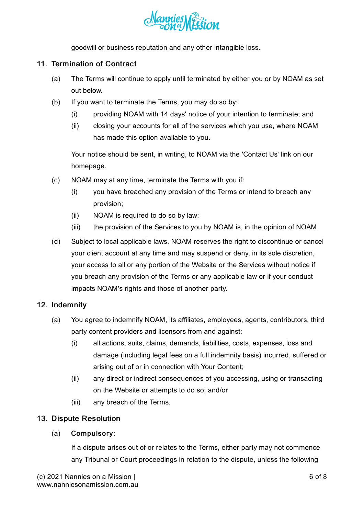

goodwill or business reputation and any other intangible loss.

## 11. Termination of Contract

- (a) The Terms will continue to apply until terminated by either you or by NOAM as set out below.
- (b) If you want to terminate the Terms, you may do so by:
	- (i) providing NOAM with 14 days' notice of your intention to terminate; and
	- (ii) closing your accounts for all of the services which you use, where NOAM has made this option available to you.

Your notice should be sent, in writing, to NOAM via the 'Contact Us' link on our homepage.

- (c) NOAM may at any time, terminate the Terms with you if:
	- (i) you have breached any provision of the Terms or intend to breach any provision;
	- (ii) NOAM is required to do so by law;
	- (iii) the provision of the Services to you by NOAM is, in the opinion of NOAM
- (d) Subject to local applicable laws, NOAM reserves the right to discontinue or cancel your client account at any time and may suspend or deny, in its sole discretion, your access to all or any portion of the Website or the Services without notice if you breach any provision of the Terms or any applicable law or if your conduct impacts NOAM's rights and those of another party.

# 12. Indemnity

- (a) You agree to indemnify NOAM, its affiliates, employees, agents, contributors, third party content providers and licensors from and against:
	- (i) all actions, suits, claims, demands, liabilities, costs, expenses, loss and damage (including legal fees on a full indemnity basis) incurred, suffered or arising out of or in connection with Your Content;
	- (ii) any direct or indirect consequences of you accessing, using or transacting on the Website or attempts to do so; and/or
	- (iii) any breach of the Terms.

# 13. Dispute Resolution

### (a) Compulsory:

If a dispute arises out of or relates to the Terms, either party may not commence any Tribunal or Court proceedings in relation to the dispute, unless the following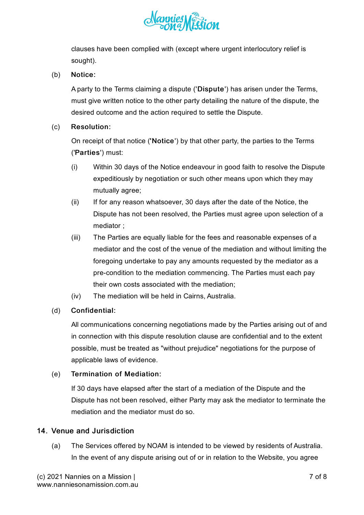

clauses have been complied with (except where urgent interlocutory relief is sought).

#### (b) Notice:

A party to the Terms claiming a dispute ('Dispute') has arisen under the Terms, must give written notice to the other party detailing the nature of the dispute, the desired outcome and the action required to settle the Dispute.

#### (c) Resolution:

On receipt of that notice ('Notice') by that other party, the parties to the Terms ('Parties') must:

- (i) Within 30 days of the Notice endeavour in good faith to resolve the Dispute expeditiously by negotiation or such other means upon which they may mutually agree;
- (ii) If for any reason whatsoever, 30 days after the date of the Notice, the Dispute has not been resolved, the Parties must agree upon selection of a mediator ;
- (iii) The Parties are equally liable for the fees and reasonable expenses of a mediator and the cost of the venue of the mediation and without limiting the foregoing undertake to pay any amounts requested by the mediator as a pre-condition to the mediation commencing. The Parties must each pay their own costs associated with the mediation;
- (iv) The mediation will be held in Cairns, Australia.

### (d) Confidential:

All communications concerning negotiations made by the Parties arising out of and in connection with this dispute resolution clause are confidential and to the extent possible, must be treated as "without prejudice" negotiations for the purpose of applicable laws of evidence.

#### (e) Termination of Mediation:

If 30 days have elapsed after the start of a mediation of the Dispute and the Dispute has not been resolved, either Party may ask the mediator to terminate the mediation and the mediator must do so.

## 14. Venue and Jurisdiction

(a) The Services offered by NOAM is intended to be viewed by residents of Australia. In the event of any dispute arising out of or in relation to the Website, you agree